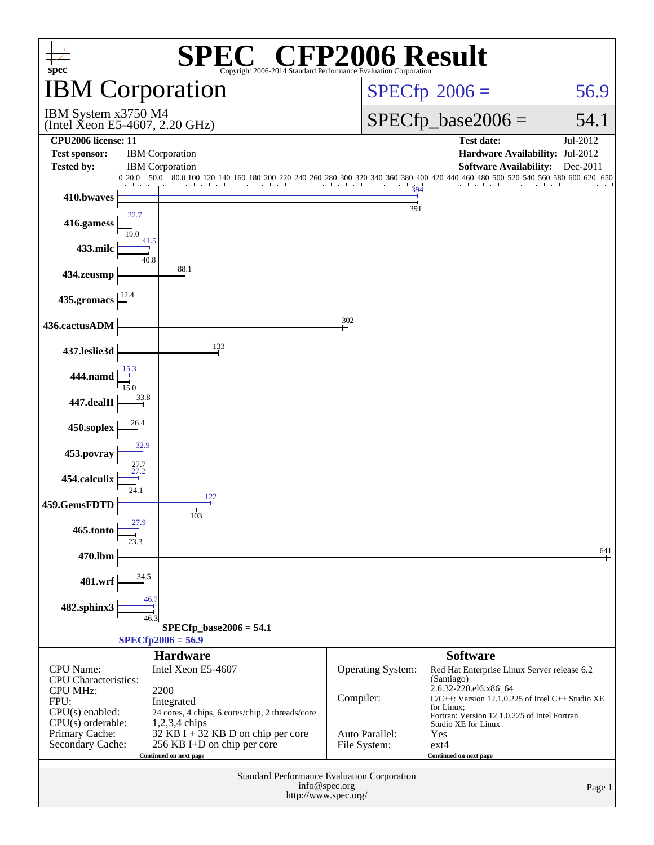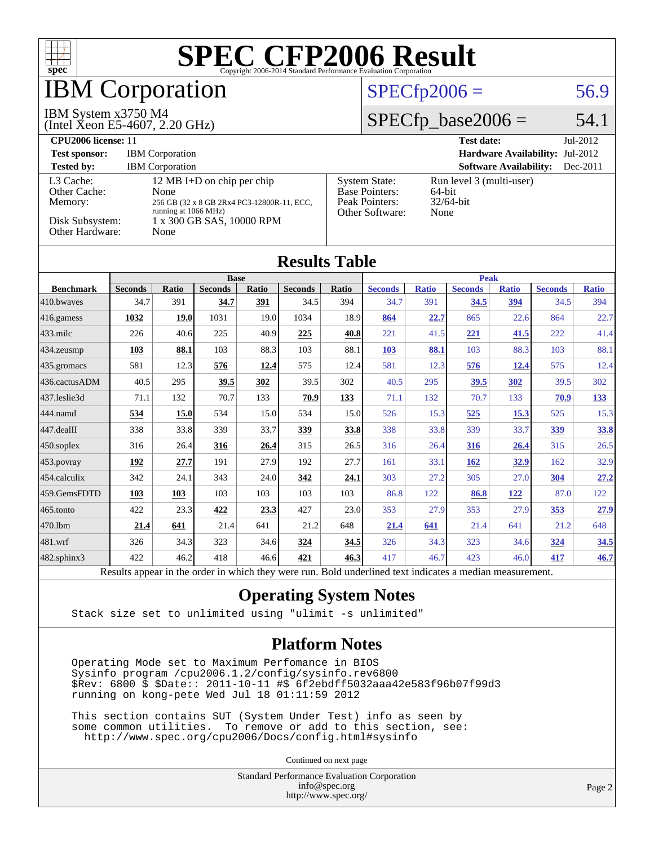

Results appear in the [order in which they were run.](http://www.spec.org/auto/cpu2006/Docs/result-fields.html#RunOrder) Bold underlined text [indicates a median measurement.](http://www.spec.org/auto/cpu2006/Docs/result-fields.html#Median)

#### **[Operating System Notes](http://www.spec.org/auto/cpu2006/Docs/result-fields.html#OperatingSystemNotes)**

Stack size set to unlimited using "ulimit -s unlimited"

#### **[Platform Notes](http://www.spec.org/auto/cpu2006/Docs/result-fields.html#PlatformNotes)**

 Operating Mode set to Maximum Perfomance in BIOS Sysinfo program /cpu2006.1.2/config/sysinfo.rev6800 \$Rev: 6800 \$ \$Date:: 2011-10-11 #\$ 6f2ebdff5032aaa42e583f96b07f99d3 running on kong-pete Wed Jul 18 01:11:59 2012

 This section contains SUT (System Under Test) info as seen by some common utilities. To remove or add to this section, see: <http://www.spec.org/cpu2006/Docs/config.html#sysinfo>

Continued on next page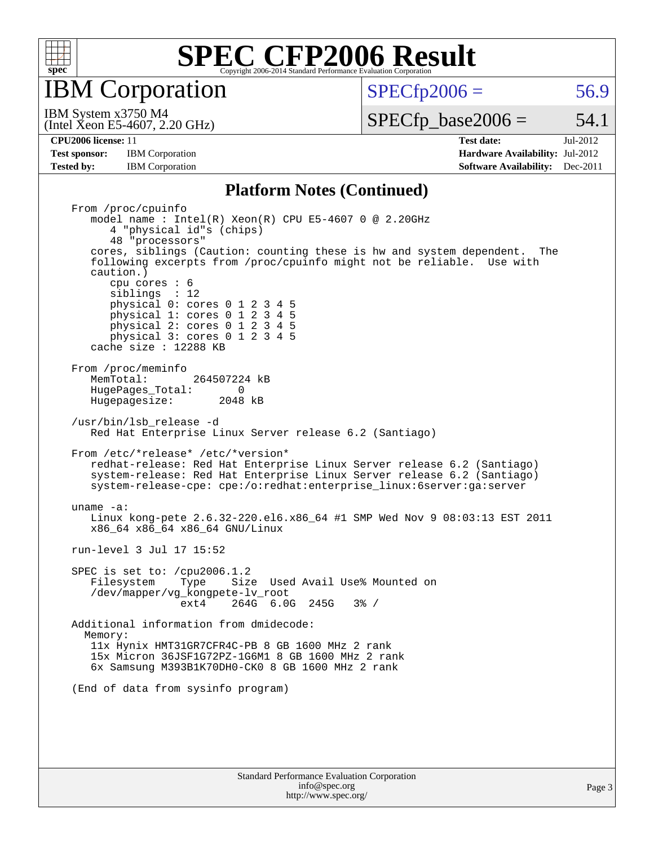

IBM Corporation

 $SPECTp2006 = 56.9$ 

(Intel Xeon E5-4607, 2.20 GHz) IBM System x3750 M4

 $SPECTp\_base2006 = 54.1$ 

**[Test sponsor:](http://www.spec.org/auto/cpu2006/Docs/result-fields.html#Testsponsor)** IBM Corporation **[Hardware Availability:](http://www.spec.org/auto/cpu2006/Docs/result-fields.html#HardwareAvailability)** Jul-2012

**[CPU2006 license:](http://www.spec.org/auto/cpu2006/Docs/result-fields.html#CPU2006license)** 11 **[Test date:](http://www.spec.org/auto/cpu2006/Docs/result-fields.html#Testdate)** Jul-2012 **[Tested by:](http://www.spec.org/auto/cpu2006/Docs/result-fields.html#Testedby)** IBM Corporation **[Software Availability:](http://www.spec.org/auto/cpu2006/Docs/result-fields.html#SoftwareAvailability)** Dec-2011

#### **[Platform Notes \(Continued\)](http://www.spec.org/auto/cpu2006/Docs/result-fields.html#PlatformNotes)**

 From /proc/cpuinfo model name : Intel(R) Xeon(R) CPU E5-4607 0 @ 2.20GHz 4 "physical id"s (chips) 48 "processors" cores, siblings (Caution: counting these is hw and system dependent. The following excerpts from /proc/cpuinfo might not be reliable. Use with caution.) cpu cores : 6 siblings : 12 physical 0: cores 0 1 2 3 4 5 physical 1: cores 0 1 2 3 4 5 physical 2: cores 0 1 2 3 4 5 physical 3: cores 0 1 2 3 4 5 cache size : 12288 KB From /proc/meminfo<br>MemTotal: 264507224 kB HugePages\_Total: 0<br>Hugepagesize: 2048 kB Hugepagesize: /usr/bin/lsb\_release -d Red Hat Enterprise Linux Server release 6.2 (Santiago) From /etc/\*release\* /etc/\*version\* redhat-release: Red Hat Enterprise Linux Server release 6.2 (Santiago) system-release: Red Hat Enterprise Linux Server release 6.2 (Santiago) system-release-cpe: cpe:/o:redhat:enterprise\_linux:6server:ga:server uname -a: Linux kong-pete 2.6.32-220.el6.x86\_64 #1 SMP Wed Nov 9 08:03:13 EST 2011 x86\_64 x86\_64 x86\_64 GNU/Linux run-level 3 Jul 17 15:52 SPEC is set to: /cpu2006.1.2 Filesystem Type Size Used Avail Use% Mounted on /dev/mapper/vg\_kongpete-lv\_root ext4 264G 6.0G 245G 3% / Additional information from dmidecode: Memory: 11x Hynix HMT31GR7CFR4C-PB 8 GB 1600 MHz 2 rank 15x Micron 36JSF1G72PZ-1G6M1 8 GB 1600 MHz 2 rank 6x Samsung M393B1K70DH0-CK0 8 GB 1600 MHz 2 rank (End of data from sysinfo program)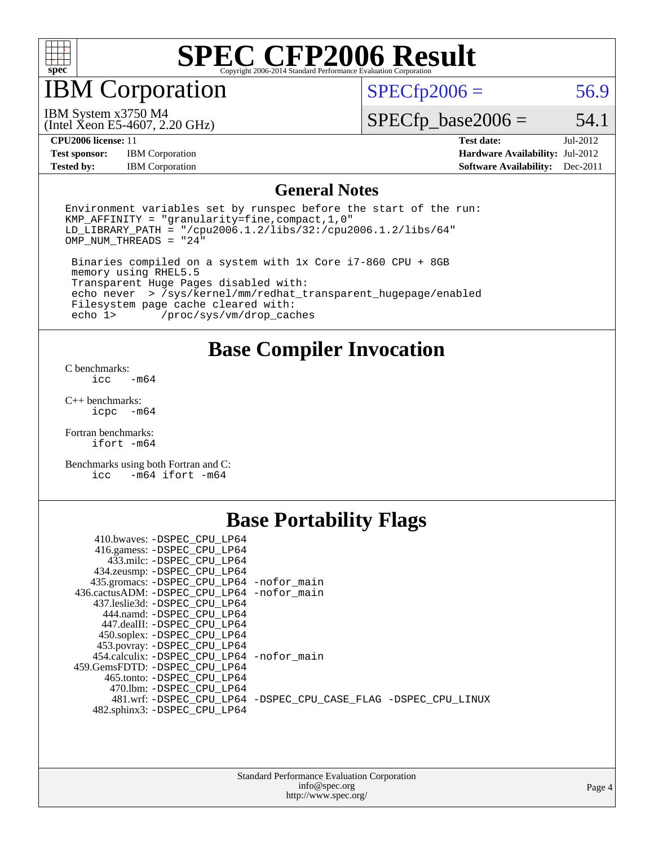

## IBM Corporation

 $SPECTp2006 = 56.9$ 

(Intel Xeon E5-4607, 2.20 GHz) IBM System x3750 M4

 $SPECfp\_base2006 = 54.1$ 

**[Test sponsor:](http://www.spec.org/auto/cpu2006/Docs/result-fields.html#Testsponsor)** IBM Corporation **[Hardware Availability:](http://www.spec.org/auto/cpu2006/Docs/result-fields.html#HardwareAvailability)** Jul-2012 **[Tested by:](http://www.spec.org/auto/cpu2006/Docs/result-fields.html#Testedby)** IBM Corporation **[Software Availability:](http://www.spec.org/auto/cpu2006/Docs/result-fields.html#SoftwareAvailability)** Dec-2011

**[CPU2006 license:](http://www.spec.org/auto/cpu2006/Docs/result-fields.html#CPU2006license)** 11 **[Test date:](http://www.spec.org/auto/cpu2006/Docs/result-fields.html#Testdate)** Jul-2012

#### **[General Notes](http://www.spec.org/auto/cpu2006/Docs/result-fields.html#GeneralNotes)**

Environment variables set by runspec before the start of the run: KMP\_AFFINITY = "granularity=fine,compact,1,0" LD\_LIBRARY\_PATH = "/cpu2006.1.2/libs/32:/cpu2006.1.2/libs/64"  $OMP_NUM_THREADS = "24"$ 

 Binaries compiled on a system with 1x Core i7-860 CPU + 8GB memory using RHEL5.5 Transparent Huge Pages disabled with: echo never > /sys/kernel/mm/redhat\_transparent\_hugepage/enabled Filesystem page cache cleared with:<br>echo 1> /proc/sys/vm/drop cac /proc/sys/vm/drop\_caches

**[Base Compiler Invocation](http://www.spec.org/auto/cpu2006/Docs/result-fields.html#BaseCompilerInvocation)**

[C benchmarks](http://www.spec.org/auto/cpu2006/Docs/result-fields.html#Cbenchmarks):  $\text{icc}$   $-\text{m64}$ 

[C++ benchmarks:](http://www.spec.org/auto/cpu2006/Docs/result-fields.html#CXXbenchmarks) [icpc -m64](http://www.spec.org/cpu2006/results/res2012q3/cpu2006-20120730-23932.flags.html#user_CXXbase_intel_icpc_64bit_bedb90c1146cab66620883ef4f41a67e)

[Fortran benchmarks](http://www.spec.org/auto/cpu2006/Docs/result-fields.html#Fortranbenchmarks): [ifort -m64](http://www.spec.org/cpu2006/results/res2012q3/cpu2006-20120730-23932.flags.html#user_FCbase_intel_ifort_64bit_ee9d0fb25645d0210d97eb0527dcc06e)

[Benchmarks using both Fortran and C](http://www.spec.org/auto/cpu2006/Docs/result-fields.html#BenchmarksusingbothFortranandC): [icc -m64](http://www.spec.org/cpu2006/results/res2012q3/cpu2006-20120730-23932.flags.html#user_CC_FCbase_intel_icc_64bit_0b7121f5ab7cfabee23d88897260401c) [ifort -m64](http://www.spec.org/cpu2006/results/res2012q3/cpu2006-20120730-23932.flags.html#user_CC_FCbase_intel_ifort_64bit_ee9d0fb25645d0210d97eb0527dcc06e)

### **[Base Portability Flags](http://www.spec.org/auto/cpu2006/Docs/result-fields.html#BasePortabilityFlags)**

| 410.bwaves: -DSPEC CPU LP64                  |                                                                |
|----------------------------------------------|----------------------------------------------------------------|
| 416.gamess: -DSPEC_CPU_LP64                  |                                                                |
| 433.milc: -DSPEC CPU LP64                    |                                                                |
| 434.zeusmp: -DSPEC_CPU_LP64                  |                                                                |
| 435.gromacs: -DSPEC_CPU_LP64 -nofor_main     |                                                                |
| 436.cactusADM: - DSPEC CPU LP64 - nofor main |                                                                |
| 437.leslie3d: -DSPEC CPU LP64                |                                                                |
| 444.namd: -DSPEC CPU LP64                    |                                                                |
| 447.dealII: -DSPEC CPU LP64                  |                                                                |
| 450.soplex: -DSPEC_CPU_LP64                  |                                                                |
| 453.povray: -DSPEC_CPU_LP64                  |                                                                |
| 454.calculix: -DSPEC CPU LP64 -nofor main    |                                                                |
| 459.GemsFDTD: -DSPEC CPU LP64                |                                                                |
| 465.tonto: - DSPEC CPU LP64                  |                                                                |
| 470.1bm: - DSPEC CPU LP64                    |                                                                |
|                                              | 481.wrf: -DSPEC CPU_LP64 -DSPEC_CPU_CASE_FLAG -DSPEC_CPU_LINUX |
| 482.sphinx3: -DSPEC_CPU_LP64                 |                                                                |
|                                              |                                                                |

| <b>Standard Performance Evaluation Corporation</b> |  |
|----------------------------------------------------|--|
| info@spec.org                                      |  |
| http://www.spec.org/                               |  |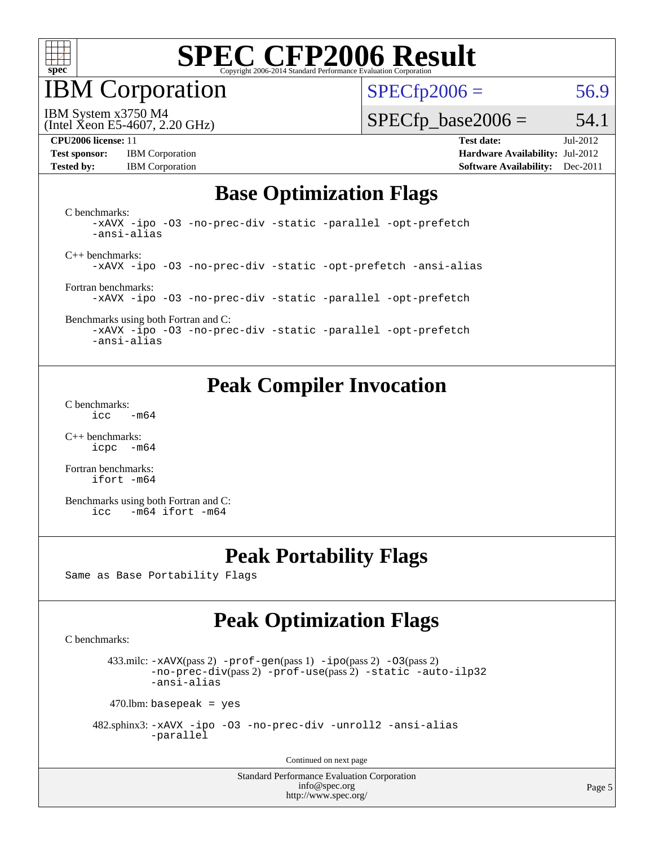

IBM Corporation

 $SPECfp2006 = 56.9$  $SPECfp2006 = 56.9$ 

IBM System x3750 M4

(Intel Xeon E5-4607, 2.20 GHz)

**[Test sponsor:](http://www.spec.org/auto/cpu2006/Docs/result-fields.html#Testsponsor)** IBM Corporation **[Hardware Availability:](http://www.spec.org/auto/cpu2006/Docs/result-fields.html#HardwareAvailability)** Jul-2012 **[Tested by:](http://www.spec.org/auto/cpu2006/Docs/result-fields.html#Testedby)** IBM Corporation **[Software Availability:](http://www.spec.org/auto/cpu2006/Docs/result-fields.html#SoftwareAvailability)** Dec-2011

 $SPECTp\_base2006 = 54.1$ **[CPU2006 license:](http://www.spec.org/auto/cpu2006/Docs/result-fields.html#CPU2006license)** 11 **[Test date:](http://www.spec.org/auto/cpu2006/Docs/result-fields.html#Testdate)** Jul-2012

### **[Base Optimization Flags](http://www.spec.org/auto/cpu2006/Docs/result-fields.html#BaseOptimizationFlags)**

[C benchmarks](http://www.spec.org/auto/cpu2006/Docs/result-fields.html#Cbenchmarks): [-xAVX](http://www.spec.org/cpu2006/results/res2012q3/cpu2006-20120730-23932.flags.html#user_CCbase_f-xAVX) [-ipo](http://www.spec.org/cpu2006/results/res2012q3/cpu2006-20120730-23932.flags.html#user_CCbase_f-ipo) [-O3](http://www.spec.org/cpu2006/results/res2012q3/cpu2006-20120730-23932.flags.html#user_CCbase_f-O3) [-no-prec-div](http://www.spec.org/cpu2006/results/res2012q3/cpu2006-20120730-23932.flags.html#user_CCbase_f-no-prec-div) [-static](http://www.spec.org/cpu2006/results/res2012q3/cpu2006-20120730-23932.flags.html#user_CCbase_f-static) [-parallel](http://www.spec.org/cpu2006/results/res2012q3/cpu2006-20120730-23932.flags.html#user_CCbase_f-parallel) [-opt-prefetch](http://www.spec.org/cpu2006/results/res2012q3/cpu2006-20120730-23932.flags.html#user_CCbase_f-opt-prefetch) [-ansi-alias](http://www.spec.org/cpu2006/results/res2012q3/cpu2006-20120730-23932.flags.html#user_CCbase_f-ansi-alias) [C++ benchmarks:](http://www.spec.org/auto/cpu2006/Docs/result-fields.html#CXXbenchmarks) [-xAVX](http://www.spec.org/cpu2006/results/res2012q3/cpu2006-20120730-23932.flags.html#user_CXXbase_f-xAVX) [-ipo](http://www.spec.org/cpu2006/results/res2012q3/cpu2006-20120730-23932.flags.html#user_CXXbase_f-ipo) [-O3](http://www.spec.org/cpu2006/results/res2012q3/cpu2006-20120730-23932.flags.html#user_CXXbase_f-O3) [-no-prec-div](http://www.spec.org/cpu2006/results/res2012q3/cpu2006-20120730-23932.flags.html#user_CXXbase_f-no-prec-div) [-static](http://www.spec.org/cpu2006/results/res2012q3/cpu2006-20120730-23932.flags.html#user_CXXbase_f-static) [-opt-prefetch](http://www.spec.org/cpu2006/results/res2012q3/cpu2006-20120730-23932.flags.html#user_CXXbase_f-opt-prefetch) [-ansi-alias](http://www.spec.org/cpu2006/results/res2012q3/cpu2006-20120730-23932.flags.html#user_CXXbase_f-ansi-alias) [Fortran benchmarks](http://www.spec.org/auto/cpu2006/Docs/result-fields.html#Fortranbenchmarks): [-xAVX](http://www.spec.org/cpu2006/results/res2012q3/cpu2006-20120730-23932.flags.html#user_FCbase_f-xAVX) [-ipo](http://www.spec.org/cpu2006/results/res2012q3/cpu2006-20120730-23932.flags.html#user_FCbase_f-ipo) [-O3](http://www.spec.org/cpu2006/results/res2012q3/cpu2006-20120730-23932.flags.html#user_FCbase_f-O3) [-no-prec-div](http://www.spec.org/cpu2006/results/res2012q3/cpu2006-20120730-23932.flags.html#user_FCbase_f-no-prec-div) [-static](http://www.spec.org/cpu2006/results/res2012q3/cpu2006-20120730-23932.flags.html#user_FCbase_f-static) [-parallel](http://www.spec.org/cpu2006/results/res2012q3/cpu2006-20120730-23932.flags.html#user_FCbase_f-parallel) [-opt-prefetch](http://www.spec.org/cpu2006/results/res2012q3/cpu2006-20120730-23932.flags.html#user_FCbase_f-opt-prefetch) [Benchmarks using both Fortran and C](http://www.spec.org/auto/cpu2006/Docs/result-fields.html#BenchmarksusingbothFortranandC): [-xAVX](http://www.spec.org/cpu2006/results/res2012q3/cpu2006-20120730-23932.flags.html#user_CC_FCbase_f-xAVX) [-ipo](http://www.spec.org/cpu2006/results/res2012q3/cpu2006-20120730-23932.flags.html#user_CC_FCbase_f-ipo) [-O3](http://www.spec.org/cpu2006/results/res2012q3/cpu2006-20120730-23932.flags.html#user_CC_FCbase_f-O3) [-no-prec-div](http://www.spec.org/cpu2006/results/res2012q3/cpu2006-20120730-23932.flags.html#user_CC_FCbase_f-no-prec-div) [-static](http://www.spec.org/cpu2006/results/res2012q3/cpu2006-20120730-23932.flags.html#user_CC_FCbase_f-static) [-parallel](http://www.spec.org/cpu2006/results/res2012q3/cpu2006-20120730-23932.flags.html#user_CC_FCbase_f-parallel) [-opt-prefetch](http://www.spec.org/cpu2006/results/res2012q3/cpu2006-20120730-23932.flags.html#user_CC_FCbase_f-opt-prefetch) [-ansi-alias](http://www.spec.org/cpu2006/results/res2012q3/cpu2006-20120730-23932.flags.html#user_CC_FCbase_f-ansi-alias)

### **[Peak Compiler Invocation](http://www.spec.org/auto/cpu2006/Docs/result-fields.html#PeakCompilerInvocation)**

[C benchmarks](http://www.spec.org/auto/cpu2006/Docs/result-fields.html#Cbenchmarks):  $\text{icc}$  -m64

[C++ benchmarks:](http://www.spec.org/auto/cpu2006/Docs/result-fields.html#CXXbenchmarks) [icpc -m64](http://www.spec.org/cpu2006/results/res2012q3/cpu2006-20120730-23932.flags.html#user_CXXpeak_intel_icpc_64bit_bedb90c1146cab66620883ef4f41a67e)

[Fortran benchmarks](http://www.spec.org/auto/cpu2006/Docs/result-fields.html#Fortranbenchmarks): [ifort -m64](http://www.spec.org/cpu2006/results/res2012q3/cpu2006-20120730-23932.flags.html#user_FCpeak_intel_ifort_64bit_ee9d0fb25645d0210d97eb0527dcc06e)

[Benchmarks using both Fortran and C](http://www.spec.org/auto/cpu2006/Docs/result-fields.html#BenchmarksusingbothFortranandC): [icc -m64](http://www.spec.org/cpu2006/results/res2012q3/cpu2006-20120730-23932.flags.html#user_CC_FCpeak_intel_icc_64bit_0b7121f5ab7cfabee23d88897260401c) [ifort -m64](http://www.spec.org/cpu2006/results/res2012q3/cpu2006-20120730-23932.flags.html#user_CC_FCpeak_intel_ifort_64bit_ee9d0fb25645d0210d97eb0527dcc06e)

### **[Peak Portability Flags](http://www.spec.org/auto/cpu2006/Docs/result-fields.html#PeakPortabilityFlags)**

Same as Base Portability Flags

## **[Peak Optimization Flags](http://www.spec.org/auto/cpu2006/Docs/result-fields.html#PeakOptimizationFlags)**

[C benchmarks](http://www.spec.org/auto/cpu2006/Docs/result-fields.html#Cbenchmarks):

433.milc:  $-x$ AVX(pass 2)  $-p$ rof-gen(pass 1)  $-p$ po(pass 2)  $-03$ (pass 2) [-no-prec-div](http://www.spec.org/cpu2006/results/res2012q3/cpu2006-20120730-23932.flags.html#user_peakPASS2_CFLAGSPASS2_LDFLAGS433_milc_f-no-prec-div)(pass 2) [-prof-use](http://www.spec.org/cpu2006/results/res2012q3/cpu2006-20120730-23932.flags.html#user_peakPASS2_CFLAGSPASS2_LDFLAGS433_milc_prof_use_bccf7792157ff70d64e32fe3e1250b55)(pass 2) [-static](http://www.spec.org/cpu2006/results/res2012q3/cpu2006-20120730-23932.flags.html#user_peakOPTIMIZE433_milc_f-static) [-auto-ilp32](http://www.spec.org/cpu2006/results/res2012q3/cpu2006-20120730-23932.flags.html#user_peakCOPTIMIZE433_milc_f-auto-ilp32) [-ansi-alias](http://www.spec.org/cpu2006/results/res2012q3/cpu2006-20120730-23932.flags.html#user_peakCOPTIMIZE433_milc_f-ansi-alias)

 $470$ .lbm: basepeak = yes

 482.sphinx3: [-xAVX](http://www.spec.org/cpu2006/results/res2012q3/cpu2006-20120730-23932.flags.html#user_peakOPTIMIZE482_sphinx3_f-xAVX) [-ipo](http://www.spec.org/cpu2006/results/res2012q3/cpu2006-20120730-23932.flags.html#user_peakOPTIMIZE482_sphinx3_f-ipo) [-O3](http://www.spec.org/cpu2006/results/res2012q3/cpu2006-20120730-23932.flags.html#user_peakOPTIMIZE482_sphinx3_f-O3) [-no-prec-div](http://www.spec.org/cpu2006/results/res2012q3/cpu2006-20120730-23932.flags.html#user_peakOPTIMIZE482_sphinx3_f-no-prec-div) [-unroll2](http://www.spec.org/cpu2006/results/res2012q3/cpu2006-20120730-23932.flags.html#user_peakCOPTIMIZE482_sphinx3_f-unroll_784dae83bebfb236979b41d2422d7ec2) [-ansi-alias](http://www.spec.org/cpu2006/results/res2012q3/cpu2006-20120730-23932.flags.html#user_peakCOPTIMIZE482_sphinx3_f-ansi-alias) [-parallel](http://www.spec.org/cpu2006/results/res2012q3/cpu2006-20120730-23932.flags.html#user_peakCOPTIMIZE482_sphinx3_f-parallel)

Continued on next page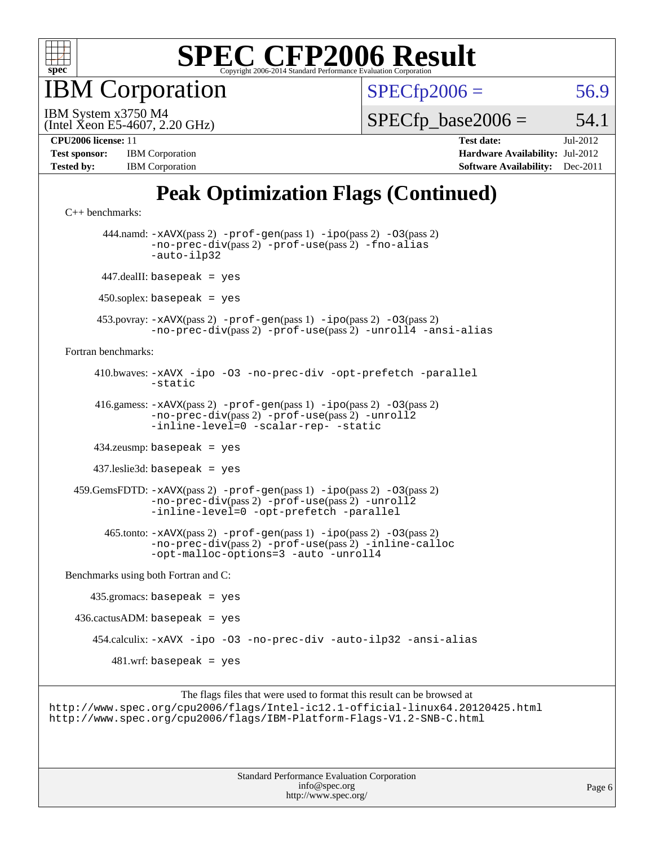

IBM Corporation

 $SPECfp2006 = 56.9$  $SPECfp2006 = 56.9$ 

(Intel Xeon E5-4607, 2.20 GHz) IBM System x3750 M4

 $SPECTp\_base2006 = 54.1$ 

| <b>Test sponsor:</b> | <b>IBM</b> Corporation |
|----------------------|------------------------|
| <b>Tested by:</b>    | <b>IBM</b> Corporation |

**[CPU2006 license:](http://www.spec.org/auto/cpu2006/Docs/result-fields.html#CPU2006license)** 11 **[Test date:](http://www.spec.org/auto/cpu2006/Docs/result-fields.html#Testdate)** Jul-2012 **[Hardware Availability:](http://www.spec.org/auto/cpu2006/Docs/result-fields.html#HardwareAvailability)** Jul-2012 **[Software Availability:](http://www.spec.org/auto/cpu2006/Docs/result-fields.html#SoftwareAvailability)** Dec-2011

## **[Peak Optimization Flags \(Continued\)](http://www.spec.org/auto/cpu2006/Docs/result-fields.html#PeakOptimizationFlags)**

```
C++ benchmarks: 
       444.namd: -xAVX(pass 2) -prof-gen(pass 1) -ipo(pass 2) -O3(pass 2)
               -no-prec-div(pass 2) -prof-use(pass 2) -fno-alias
               -auto-ilp32
       447.dealII: basepeak = yes
      450.soplex: basepeak = yes
      453.povray: -xAVX(pass 2) -prof-gen(pass 1) -ipo(pass 2) -O3(pass 2)
               -no-prec-div(pass 2) -prof-use(pass 2) -unroll4 -ansi-alias
Fortran benchmarks: 
      410.bwaves: -xAVX -ipo -O3 -no-prec-div -opt-prefetch -parallel
               -static
      416.gamess: -xAVX(pass 2) -prof-gen(pass 1) -ipo(pass 2) -O3(pass 2)
                -no-prec-div(pass 2) -prof-use(pass 2) -unroll2
               -inline-level=0-scalar-rep--static
      434.zeusmp: basepeak = yes
      437.leslie3d: basepeak = yes
  459.GemsFDTD: -xAVX(pass 2) -prof-gen(pass 1) -ipo(pass 2) -O3(pass 2)
               -no-prec-div(pass 2) -prof-use(pass 2) -unroll2
               -inline-level=0 -opt-prefetch -parallel
        465.tonto: -xAVX(pass 2) -prof-gen(pass 1) -ipo(pass 2) -O3(pass 2)
               -no-prec-div(pass 2) -prof-use(pass 2) -inline-calloc
               -opt-malloc-options=3 -auto -unroll4
Benchmarks using both Fortran and C: 
    435.\text{gromacs: basepeak} = yes
 436.cactusADM:basepeak = yes 454.calculix: -xAVX -ipo -O3 -no-prec-div -auto-ilp32 -ansi-alias
        481.wrf: basepeak = yes
```
The flags files that were used to format this result can be browsed at <http://www.spec.org/cpu2006/flags/Intel-ic12.1-official-linux64.20120425.html> <http://www.spec.org/cpu2006/flags/IBM-Platform-Flags-V1.2-SNB-C.html>